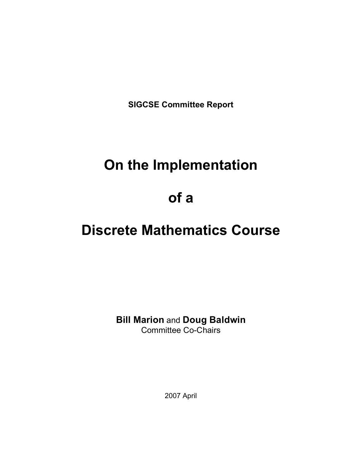**SIGCSE Committee Report**

# **On the Implementation**

# **of a**

# **Discrete Mathematics Course**

**Bill Marion** and **Doug Baldwin** Committee Co-Chairs

2007 April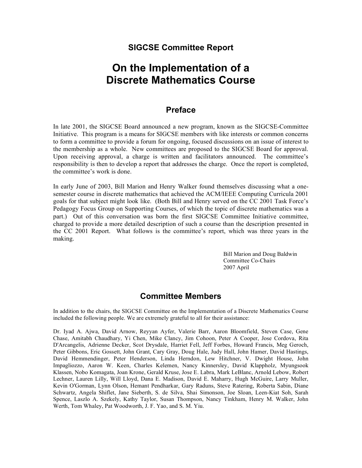### **SIGCSE Committee Report**

## **On the Implementation of a Discrete Mathematics Course**

### **Preface**

In late 2001, the SIGCSE Board announced a new program, known as the SIGCSE-Committee Initiative. This program is a means for SIGCSE members with like interests or common concerns to form a committee to provide a forum for ongoing, focused discussions on an issue of interest to the membership as a whole. New committees are proposed to the SIGCSE Board for approval. Upon receiving approval, a charge is written and facilitators announced. The committee's responsibility is then to develop a report that addresses the charge. Once the report is completed, the committee's work is done.

In early June of 2003, Bill Marion and Henry Walker found themselves discussing what a onesemester course in discrete mathematics that achieved the ACM/IEEE Computing Curricula 2001 goals for that subject might look like. (Both Bill and Henry served on the CC 2001 Task Force's Pedagogy Focus Group on Supporting Courses, of which the topic of discrete mathematics was a part.) Out of this conversation was born the first SIGCSE Committee Initiative committee, charged to provide a more detailed description of such a course than the description presented in the CC 2001 Report. What follows is the committee's report, which was three years in the making.

> Bill Marion and Doug Baldwin Committee Co-Chairs 2007 April

### **Committee Members**

In addition to the chairs, the SIGCSE Committee on the Implementation of a Discrete Mathematics Course included the following people. We are extremely grateful to all for their assistance:

Dr. Iyad A. Ajwa, David Arnow, Reyyan Ayfer, Valerie Barr, Aaron Bloomfield, Steven Case, Gene Chase, Amitabh Chaudhary, Yi Chen, Mike Clancy, Jim Cohoon, Peter A Cooper, Jose Cordova, Rita D'Arcangelis, Adrienne Decker, Scot Drysdale, Harriet Fell, Jeff Forbes, Howard Francis, Meg Geroch, Peter Gibbons, Eric Gossett, John Grant, Cary Gray, Doug Hale, Judy Hall, John Hamer, David Hastings, David Hemmendinger, Peter Henderson, Linda Herndon, Lew Hitchner, V. Dwight House, John Impagliozzo, Aaron W. Keen, Charles Kelemen, Nancy Kinnersley, David Klappholz, Myungsook Klassen, Nobo Komagata, Joan Krone, Gerald Kruse, Jose E. Labra, Mark LeBlanc, Arnold Lebow, Robert Lechner, Lauren Lilly, Will Lloyd, Dana E. Madison, David E. Maharry, Hugh McGuire, Larry Muller, Kevin O'Gorman, Lynn Olson, Hemant Pendharkar, Gary Raduns, Steve Ratering, Roberta Sabin, Diane Schwartz, Angela Shiflet, Jane Sieberth, S. de Silva, Shai Simonson, Joe Sloan, Leen-Kiat Soh, Sarah Spence, Laszlo A. Szekely, Kathy Taylor, Susan Thompson, Nancy Tinkham, Henry M. Walker, John Werth, Tom Whaley, Pat Woodworth, J. F. Yao, and S. M. Yiu.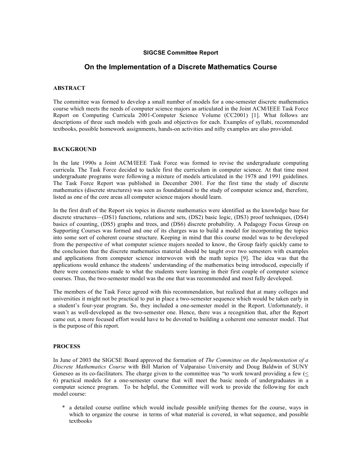#### **SIGCSE Committee Report**

#### **On the Implementation of a Discrete Mathematics Course**

#### **ABSTRACT**

The committee was formed to develop a small number of models for a one-semester discrete mathematics course which meets the needs of computer science majors as articulated in the Joint ACM/IEEE Task Force Report on Computing Curricula 2001-Computer Science Volume (CC2001) [1]. What follows are descriptions of three such models with goals and objectives for each. Examples of syllabi, recommended textbooks, possible homework assignments, hands-on activities and nifty examples are also provided.

#### **BACKGROUND**

In the late 1990s a Joint ACM/IEEE Task Force was formed to revise the undergraduate computing curricula. The Task Force decided to tackle first the curriculum in computer science. At that time most undergraduate programs were following a mixture of models articulated in the 1978 and 1991 guidelines. The Task Force Report was published in December 2001. For the first time the study of discrete mathematics (discrete structures) was seen as foundational to the study of computer science and, therefore, listed as one of the core areas all computer science majors should learn.

In the first draft of the Report six topics in discrete mathematics were identified as the knowledge base for discrete structures—(DS1) functions, relations and sets, (DS2) basic logic, (DS3) proof techniques, (DS4) basics of counting, (DS5) graphs and trees, and (DS6) discrete probability. A Pedagogy Focus Group on Supporting Courses was formed and one of its charges was to build a model for incorporating the topics into some sort of coherent course structure. Keeping in mind that this course model was to be developed from the perspective of what computer science majors needed to know, the Group fairly quickly came to the conclusion that the discrete mathematics material should be taught over two semesters with examples and applications from computer science interwoven with the math topics [9]. The idea was that the applications would enhance the students' understanding of the mathematics being introduced, especially if there were connections made to what the students were learning in their first couple of computer science courses. Thus, the two-semester model was the one that was recommended and most fully developed.

The members of the Task Force agreed with this recommendation, but realized that at many colleges and universities it might not be practical to put in place a two-semester sequence which would be taken early in a student's four-year program. So, they included a one-semester model in the Report. Unfortunately, it wasn't as well-developed as the two-semester one. Hence, there was a recognition that, after the Report came out, a more focused effort would have to be devoted to building a coherent one semester model. That is the purpose of this report.

#### **PROCESS**

In June of 2003 the SIGCSE Board approved the formation of *The Committee on the Implementation of a Discrete Mathematics Course* with Bill Marion of Valparaiso University and Doug Baldwin of SUNY Geneseo as its co-facilitators. The charge given to the committee was "to work toward providing a few  $($ 6) practical models for a one-semester course that will meet the basic needs of undergraduates in a computer science program. To be helpful, the Committee will work to provide the following for each model course:

\* a detailed course outline which would include possible unifying themes for the course, ways in which to organize the course in terms of what material is covered, in what sequence, and possible textbooks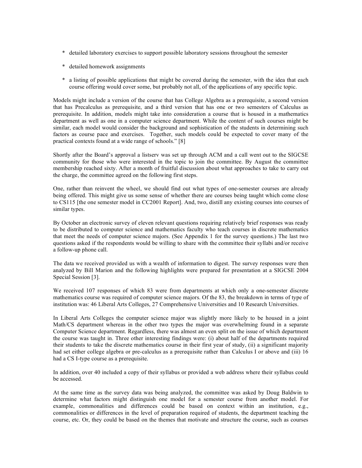- \* detailed laboratory exercises to support possible laboratory sessions throughout the semester
- \* detailed homework assignments
- \* a listing of possible applications that might be covered during the semester, with the idea that each course offering would cover some, but probably not all, of the applications of any specific topic.

Models might include a version of the course that has College Algebra as a prerequisite, a second version that has Precalculus as prerequisite, and a third version that has one or two semesters of Calculus as prerequisite. In addition, models might take into consideration a course that is housed in a mathematics department as well as one in a computer science department. While the content of such courses might be similar, each model would consider the background and sophistication of the students in determining such factors as course pace and exercises. Together, such models could be expected to cover many of the practical contexts found at a wide range of schools." [8]

Shortly after the Board's approval a listserv was set up through ACM and a call went out to the SIGCSE community for those who were interested in the topic to join the committee. By August the committee membership reached sixty. After a month of fruitful discussion about what approaches to take to carry out the charge, the committee agreed on the following first steps.

One, rather than reinvent the wheel, we should find out what types of one-semester courses are already being offered. This might give us some sense of whether there are courses being taught which come close to CS115 [the one semester model in CC2001 Report]. And, two, distill any existing courses into courses of similar types.

By October an electronic survey of eleven relevant questions requiring relatively brief responses was ready to be distributed to computer science and mathematics faculty who teach courses in discrete mathematics that meet the needs of computer science majors. (See Appendix 1 for the survey questions.) The last two questions asked if the respondents would be willing to share with the committee their syllabi and/or receive a follow-up phone call.

The data we received provided us with a wealth of information to digest. The survey responses were then analyzed by Bill Marion and the following highlights were prepared for presentation at a SIGCSE 2004 Special Session [3].

We received 107 responses of which 83 were from departments at which only a one-semester discrete mathematics course was required of computer science majors. Of the 83, the breakdown in terms of type of institution was: 46 Liberal Arts Colleges, 27 Comprehensive Universities and 10 Research Universities.

In Liberal Arts Colleges the computer science major was slightly more likely to be housed in a joint Math/CS department whereas in the other two types the major was overwhelming found in a separate Computer Science department. Regardless, there was almost an even split on the issue of which department the course was taught in. Three other interesting findings were: (i) about half of the departments required their students to take the discrete mathematics course in their first year of study, (ii) a significant majority had set either college algebra or pre-calculus as a prerequisite rather than Calculus I or above and (iii) 16 had a CS I-type course as a prerequisite.

In addition, over 40 included a copy of their syllabus or provided a web address where their syllabus could be accessed.

At the same time as the survey data was being analyzed, the committee was asked by Doug Baldwin to determine what factors might distinguish one model for a semester course from another model. For example, commonalities and differences could be based on context within an institution, e.g., commonalities or differences in the level of preparation required of students, the department teaching the course, etc. Or, they could be based on the themes that motivate and structure the course, such as courses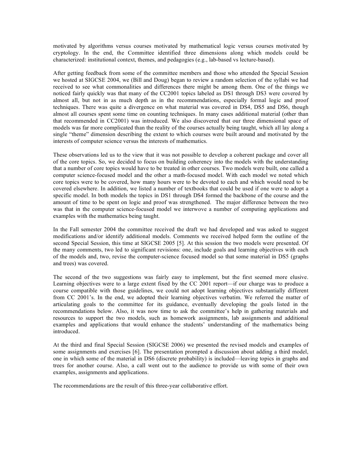motivated by algorithms versus courses motivated by mathematical logic versus courses motivated by cryptology. In the end, the Committee identified three dimensions along which models could be characterized: institutional context, themes, and pedagogies (e.g., lab-based vs lecture-based).

After getting feedback from some of the committee members and those who attended the Special Session we hosted at SIGCSE 2004, we (Bill and Doug) began to review a random selection of the syllabi we had received to see what commonalities and differences there might be among them. One of the things we noticed fairly quickly was that many of the CC2001 topics labeled as DS1 through DS3 were covered by almost all, but not in as much depth as in the recommendations, especially formal logic and proof techniques. There was quite a divergence on what material was covered in DS4, DS5 and DS6, though almost all courses spent some time on counting techniques. In many cases additional material (other than that recommended in CC2001) was introduced. We also discovered that our three dimensional space of models was far more complicated than the reality of the courses actually being taught, which all lay along a single "theme" dimension describing the extent to which courses were built around and motivated by the interests of computer science versus the interests of mathematics.

These observations led us to the view that it was not possible to develop a coherent package and cover all of the core topics. So, we decided to focus on building coherency into the models with the understanding that a number of core topics would have to be treated in other courses. Two models were built, one called a computer science-focused model and the other a math-focused model. With each model we noted which core topics were to be covered, how many hours were to be devoted to each and which would need to be covered elsewhere. In addition, we listed a number of textbooks that could be used if one were to adopt a specific model. In both models the topics in DS1 through DS4 formed the backbone of the course and the amount of time to be spent on logic and proof was strengthened. The major difference between the two was that in the computer science-focused model we interwove a number of computing applications and examples with the mathematics being taught.

In the Fall semester 2004 the committee received the draft we had developed and was asked to suggest modifications and/or identify additional models. Comments we received helped form the outline of the second Special Session, this time at SIGCSE 2005 [5]. At this session the two models were presented. Of the many comments, two led to significant revisions: one, include goals and learning objectives with each of the models and, two, revise the computer-science focused model so that some material in DS5 (graphs and trees) was covered.

The second of the two suggestions was fairly easy to implement, but the first seemed more elusive. Learning objectives were to a large extent fixed by the CC 2001 report—if our charge was to produce a course compatible with those guidelines, we could not adopt learning objectives substantially different from CC 2001's. In the end, we adopted their learning objectives verbatim. We referred the matter of articulating goals to the committee for its guidance, eventually developing the goals listed in the recommendations below. Also, it was now time to ask the committee's help in gathering materials and resources to support the two models, such as homework assignments, lab assignments and additional examples and applications that would enhance the students' understanding of the mathematics being introduced.

At the third and final Special Session (SIGCSE 2006) we presented the revised models and examples of some assignments and exercises [6]. The presentation prompted a discussion about adding a third model, one in which some of the material in DS6 (discrete probability) is included—leaving topics in graphs and trees for another course. Also, a call went out to the audience to provide us with some of their own examples, assignments and applications.

The recommendations are the result of this three-year collaborative effort.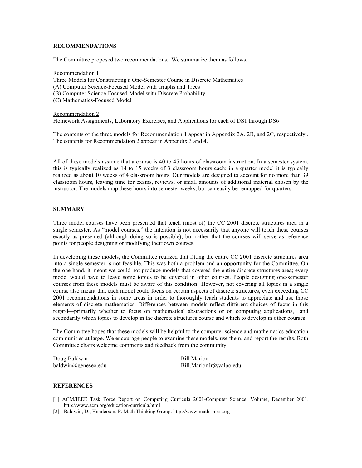#### **RECOMMENDATIONS**

The Committee proposed two recommendations. We summarize them as follows.

Recommendation 1 Three Models for Constructing a One-Semester Course in Discrete Mathematics (A) Computer Science-Focused Model with Graphs and Trees (B) Computer Science-Focused Model with Discrete Probability (C) Mathematics-Focused Model

Recommendation 2 Homework Assignments, Laboratory Exercises, and Applications for each of DS1 through DS6

The contents of the three models for Recommendation 1 appear in Appendix 2A, 2B, and 2C, respectively.. The contents for Recommendation 2 appear in Appendix 3 and 4.

All of these models assume that a course is 40 to 45 hours of classroom instruction. In a semester system, this is typically realized as 14 to 15 weeks of 3 classroom hours each; in a quarter model it is typically realized as about 10 weeks of 4 classroom hours. Our models are designed to account for no more than 39 classroom hours, leaving time for exams, reviews, or small amounts of additional material chosen by the instructor. The models map these hours into semester weeks, but can easily be remapped for quarters.

#### **SUMMARY**

Three model courses have been presented that teach (most of) the CC 2001 discrete structures area in a single semester. As "model courses," the intention is not necessarily that anyone will teach these courses exactly as presented (although doing so is possible), but rather that the courses will serve as reference points for people designing or modifying their own courses.

In developing these models, the Committee realized that fitting the entire CC 2001 discrete structures area into a single semester is not feasible. This was both a problem and an opportunity for the Committee. On the one hand, it meant we could not produce models that covered the entire discrete structures area; every model would have to leave some topics to be covered in other courses. People designing one-semester courses from these models must be aware of this condition! However, not covering all topics in a single course also meant that each model could focus on certain aspects of discrete structures, even exceeding CC 2001 recommendations in some areas in order to thoroughly teach students to appreciate and use those elements of discrete mathematics. Differences between models reflect different choices of focus in this regard—primarily whether to focus on mathematical abstractions or on computing applications, and secondarily which topics to develop in the discrete structures course and which to develop in other courses.

The Committee hopes that these models will be helpful to the computer science and mathematics education communities at large. We encourage people to examine these models, use them, and report the results. Both Committee chairs welcome comments and feedback from the community.

Doug Baldwin Bill Marion

baldwin@geneseo.edu Bill.MarionJr@valpo.edu

#### **REFERENCES**

- [1] ACM/IEEE Task Force Report on Computing Curricula 2001-Computer Science, Volume, December 2001. http://www.acm.org/education/curricula.html
- [2] Baldwin, D., Henderson, P. Math Thinking Group. http://www.math-in-cs.org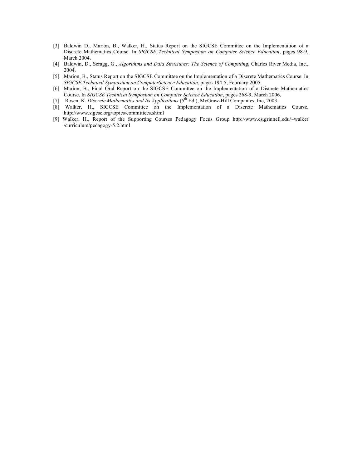- [3] Baldwin D., Marion, B., Walker, H., Status Report on the SIGCSE Committee on the Implementation of a Discrete Mathematics Course. In *SIGCSE Technical Symposium on Computer Science Education*, pages 98-9, March 2004.
- [4] Baldwin, D., Scragg, G., *Algorithms and Data Structures: The Science of Computing*, Charles River Media, Inc., 2004.
- [5] Marion, B., Status Report on the SIGCSE Committee on the Implementation of a Discrete Mathematics Course. In *SIGCSE Technical Symposium on ComputerScience Education*, pages 194-5, February 2005.
- [6] Marion, B., Final Oral Report on the SIGCSE Committee on the Implementation of a Discrete Mathematics Course. In *SIGCSE Technical Symposium on Computer Science Education*, pages 268-9, March 2006.
- [7] Rosen, K. *Discrete Mathematics and Its Applications* (5th Ed.), McGraw-Hill Companies, Inc, 2003.
- [8] Walker, H., SIGCSE Committee on the Implementation of a Discrete Mathematics Course. http://www.sigcse.org/topics/committees.shtml
- [9] Walker, H., Report of the Supporting Courses Pedagogy Focus Group http://www.cs.grinnell.edu/~walker /curriculum/pedagogy-5.2.html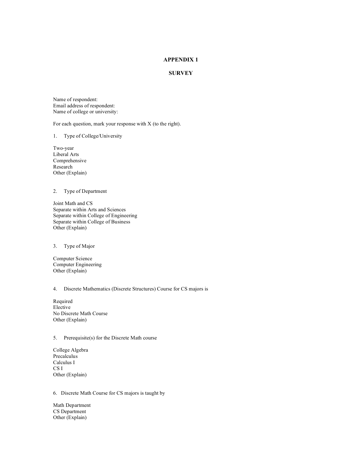#### **APPENDIX 1**

#### **SURVEY**

Name of respondent: Email address of respondent: Name of college or university:

For each question, mark your response with X (to the right).

#### 1. Type of College/University

Two-year Liberal Arts Comprehensive Research Other (Explain)

#### 2. Type of Department

Joint Math and CS Separate within Arts and Sciences Separate within College of Engineering Separate within College of Business Other (Explain)

#### 3. Type of Major

Computer Science Computer Engineering Other (Explain)

#### 4. Discrete Mathematics (Discrete Structures) Course for CS majors is

Required Elective No Discrete Math Course Other (Explain)

#### 5. Prerequisite(s) for the Discrete Math course

College Algebra Precalculus Calculus I CS I Other (Explain)

#### 6. Discrete Math Course for CS majors is taught by

Math Department CS Department Other (Explain)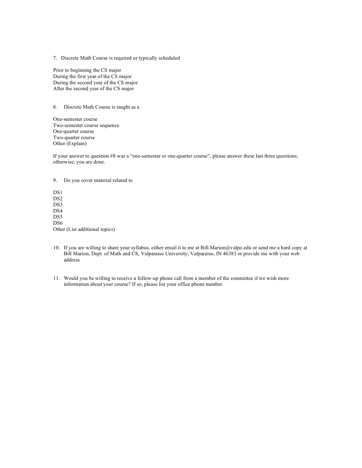7. Discrete Math Course is required or typically scheduled

Prior to beginning the CS major During the first year of the CS major During the second year of the CS major After the second year of the CS major

8. Discrete Math Course is taught as a

One-semester course Two-semester course sequence One-quarter course Two-quarter course Other (Explain)

If your answer to question #8 was a "one-semester or one-quarter course", please answer these last three questions; otherwise, you are done.

9. Do you cover material related to

DS<sub>1</sub> DS2 DS3 DS4 DS<sub>5</sub> D<sub>S6</sub> Other (List additional topics)

- 10. If you are willing to share your syllabus, either email it to me at Bill.Marion@valpo.edu or send me a hard copy at Bill Marion, Dept. of Math and CS, Valparaiso University, Valparaiso, IN 46383 or provide me with your web address
- 11. Would you be willing to receive a follow-up phone call from a member of the committee if we wish more information about your course? If so, please list your office phone number.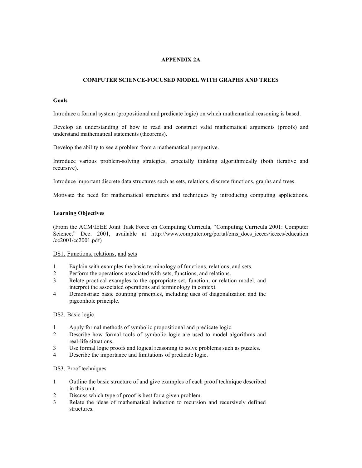#### **APPENDIX 2A**

#### **COMPUTER SCIENCE-FOCUSED MODEL WITH GRAPHS AND TREES**

#### **Goals**

Introduce a formal system (propositional and predicate logic) on which mathematical reasoning is based.

Develop an understanding of how to read and construct valid mathematical arguments (proofs) and understand mathematical statements (theorems).

Develop the ability to see a problem from a mathematical perspective.

Introduce various problem-solving strategies, especially thinking algorithmically (both iterative and recursive).

Introduce important discrete data structures such as sets, relations, discrete functions, graphs and trees.

Motivate the need for mathematical structures and techniques by introducing computing applications.

#### **Learning Objectives**

(From the ACM/IEEE Joint Task Force on Computing Curricula, "Computing Curricula 2001: Computer Science," Dec. 2001, available at http://www.computer.org/portal/cms\_docs\_ieeecs/ieeecs/education /cc2001/cc2001.pdf)

#### DS1. Functions, relations, and sets

- 1 Explain with examples the basic terminology of functions, relations, and sets.
- 2 Perform the operations associated with sets, functions, and relations.
- 3 Relate practical examples to the appropriate set, function, or relation model, and interpret the associated operations and terminology in context.
- 4 Demonstrate basic counting principles, including uses of diagonalization and the pigeonhole principle.

#### DS2. Basic logic

- 1 Apply formal methods of symbolic propositional and predicate logic.
- 2 Describe how formal tools of symbolic logic are used to model algorithms and real-life situations.
- 3 Use formal logic proofs and logical reasoning to solve problems such as puzzles.
- 4 Describe the importance and limitations of predicate logic.

#### DS3. Proof techniques

- 1 Outline the basic structure of and give examples of each proof technique described in this unit.
- 2 Discuss which type of proof is best for a given problem.
- 3 Relate the ideas of mathematical induction to recursion and recursively defined structures.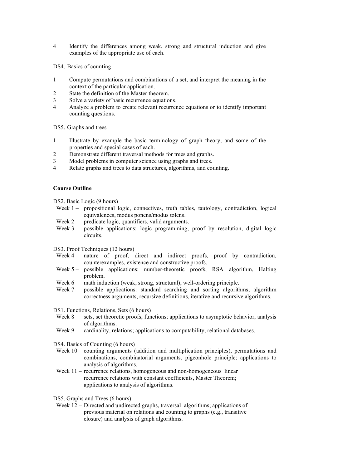4 Identify the differences among weak, strong and structural induction and give examples of the appropriate use of each.

#### DS4. Basics of counting

- 1 Compute permutations and combinations of a set, and interpret the meaning in the context of the particular application.
- 2 State the definition of the Master theorem.
- 3 Solve a variety of basic recurrence equations.<br>4 Analyze a problem to create relevant recurrer
- 4 Analyze a problem to create relevant recurrence equations or to identify important counting questions.

#### DS5. Graphs and trees

- 1 Illustrate by example the basic terminology of graph theory, and some of the properties and special cases of each.
- 2 Demonstrate different traversal methods for trees and graphs.
- 3 Model problems in computer science using graphs and trees.
- 4 Relate graphs and trees to data structures, algorithms, and counting.

#### **Course Outline**

DS2. Basic Logic (9 hours)

- Week 1 propositional logic, connectives, truth tables, tautology, contradiction, logical equivalences, modus ponens/modus tolens.
- Week 2 predicate logic, quantifiers, valid arguments.
- Week 3 possible applications: logic programming, proof by resolution, digital logic circuits.

DS3. Proof Techniques (12 hours)

- Week 4 nature of proof, direct and indirect proofs, proof by contradiction, counterexamples, existence and constructive proofs.
- Week 5 possible applications: number-theoretic proofs, RSA algorithm, Halting problem.
- Week 6 math induction (weak, strong, structural), well-ordering principle.
- Week 7 possible applications: standard searching and sorting algorithms, algorithm correctness arguments, recursive definitions, iterative and recursive algorithms.

DS1. Functions, Relations, Sets (6 hours)

- Week 8 sets, set theoretic proofs, functions; applications to asymptotic behavior, analysis of algorithms.
- Week 9 cardinality, relations; applications to computability, relational databases.

DS4. Basics of Counting (6 hours)

- Week 10 counting arguments (addition and multiplication principles), permutations and combinations, combinatorial arguments, pigeonhole principle; applications to analysis of algorithms.
- Week 11 recurrence relations, homogeneous and non-homogeneous linear recurrence relations with constant coefficients, Master Theorem; applications to analysis of algorithms.

DS5. Graphs and Trees (6 hours)

Week 12 – Directed and undirected graphs, traversal algorithms; applications of previous material on relations and counting to graphs (e.g., transitive closure) and analysis of graph algorithms.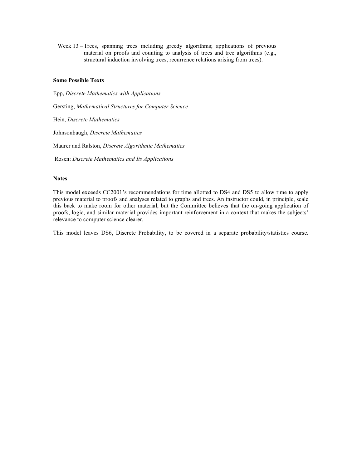Week 13 –Trees, spanning trees including greedy algorithms; applications of previous material on proofs and counting to analysis of trees and tree algorithms (e.g., structural induction involving trees, recurrence relations arising from trees).

#### **Some Possible Texts**

Epp, *Discrete Mathematics with Applications* Gersting, *Mathematical Structures for Computer Science* Hein, *Discrete Mathematics* Johnsonbaugh, *Discrete Mathematics* Maurer and Ralston, *Discrete Algorithmic Mathematics* Rosen: *Discrete Mathematics and Its Applications*

#### **Notes**

This model exceeds CC2001's recommendations for time allotted to DS4 and DS5 to allow time to apply previous material to proofs and analyses related to graphs and trees. An instructor could, in principle, scale this back to make room for other material, but the Committee believes that the on-going application of proofs, logic, and similar material provides important reinforcement in a context that makes the subjects' relevance to computer science clearer.

This model leaves DS6, Discrete Probability, to be covered in a separate probability/statistics course.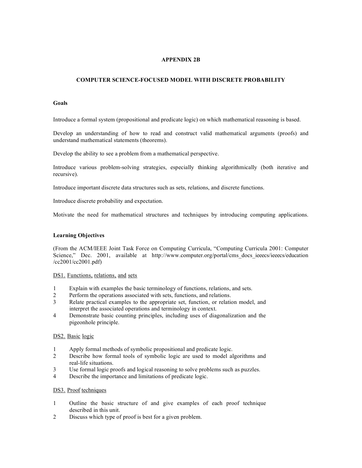#### **APPENDIX 2B**

#### **COMPUTER SCIENCE-FOCUSED MODEL WITH DISCRETE PROBABILITY**

#### **Goals**

Introduce a formal system (propositional and predicate logic) on which mathematical reasoning is based.

Develop an understanding of how to read and construct valid mathematical arguments (proofs) and understand mathematical statements (theorems).

Develop the ability to see a problem from a mathematical perspective.

Introduce various problem-solving strategies, especially thinking algorithmically (both iterative and recursive).

Introduce important discrete data structures such as sets, relations, and discrete functions.

Introduce discrete probability and expectation.

Motivate the need for mathematical structures and techniques by introducing computing applications.

#### **Learning Objectives**

(From the ACM/IEEE Joint Task Force on Computing Curricula, "Computing Curricula 2001: Computer Science," Dec. 2001, available at http://www.computer.org/portal/cms docs ieeecs/ieeecs/education /cc2001/cc2001.pdf)

DS1. Functions, relations, and sets

- 1 Explain with examples the basic terminology of functions, relations, and sets.
- 2 Perform the operations associated with sets, functions, and relations.
- 3 Relate practical examples to the appropriate set, function, or relation model, and interpret the associated operations and terminology in context.
- 4 Demonstrate basic counting principles, including uses of diagonalization and the pigeonhole principle.

#### DS2. Basic logic

- 1 Apply formal methods of symbolic propositional and predicate logic.
- 2 Describe how formal tools of symbolic logic are used to model algorithms and real-life situations.
- 3 Use formal logic proofs and logical reasoning to solve problems such as puzzles.
- 4 Describe the importance and limitations of predicate logic.

#### DS3. Proof techniques

- 1 Outline the basic structure of and give examples of each proof technique described in this unit.
- 2 Discuss which type of proof is best for a given problem.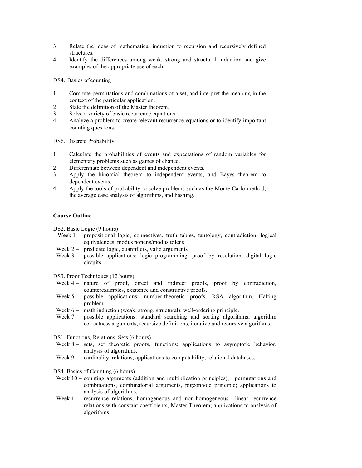- 3 Relate the ideas of mathematical induction to recursion and recursively defined structures.
- 4 Identify the differences among weak, strong and structural induction and give examples of the appropriate use of each.

#### DS4. Basics of counting

- 1 Compute permutations and combinations of a set, and interpret the meaning in the context of the particular application.
- 2 State the definition of the Master theorem.
- 3 Solve a variety of basic recurrence equations.
- 4 Analyze a problem to create relevant recurrence equations or to identify important counting questions.

DS6. Discrete Probability

- 1 Calculate the probabilities of events and expectations of random variables for elementary problems such as games of chance.
- 2 Differentiate between dependent and independent events.
- 3 Apply the binomial theorem to independent events, and Bayes theorem to dependent events.
- 4 Apply the tools of probability to solve problems such as the Monte Carlo method, the average case analysis of algorithms, and hashing.

#### **Course Outline**

DS2. Basic Logic (9 hours)

- Week 1 propositional logic, connectives, truth tables, tautology, contradiction, logical equivalences, modus ponens/modus tolens
- Week  $2 -$  predicate logic, quantifiers, valid arguments
- Week 3 possible applications: logic programming, proof by resolution, digital logic circuits

DS3. Proof Techniques (12 hours)

- Week 4 nature of proof, direct and indirect proofs, proof by contradiction, counterexamples, existence and constructive proofs.
- Week 5 possible applications: number-theoretic proofs, RSA algorithm, Halting problem.
- Week 6 math induction (weak, strong, structural), well-ordering principle.
- Week  $7 -$  possible applications: standard searching and sorting algorithms, algorithm correctness arguments, recursive definitions, iterative and recursive algorithms.

DS1. Functions, Relations, Sets (6 hours)

- Week 8 sets, set theoretic proofs, functions; applications to asymptotic behavior, analysis of algorithms.
- Week 9 cardinality, relations; applications to computability, relational databases.

DS4. Basics of Counting (6 hours)

- Week 10 counting arguments (addition and multiplication principles), permutations and combinations, combinatorial arguments, pigeonhole principle; applications to analysis of algorithms.
- Week 11 recurrence relations, homogeneous and non-homogeneous linear recurrence relations with constant coefficients, Master Theorem; applications to analysis of algorithms.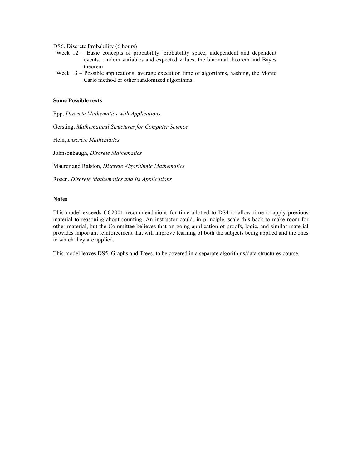DS6. Discrete Probability (6 hours)

- Week 12 Basic concepts of probability: probability space, independent and dependent events, random variables and expected values, the binomial theorem and Bayes theorem.
- Week 13 Possible applications: average execution time of algorithms, hashing, the Monte Carlo method or other randomized algorithms.

#### **Some Possible texts**

Epp, *Discrete Mathematics with Applications*

Gersting, *Mathematical Structures for Computer Science*

Hein, *Discrete Mathematics*

Johnsonbaugh, *Discrete Mathematics*

Maurer and Ralston, *Discrete Algorithmic Mathematics*

Rosen, *Discrete Mathematics and Its Applications*

#### **Notes**

This model exceeds CC2001 recommendations for time allotted to DS4 to allow time to apply previous material to reasoning about counting. An instructor could, in principle, scale this back to make room for other material, but the Committee believes that on-going application of proofs, logic, and similar material provides important reinforcement that will improve learning of both the subjects being applied and the ones to which they are applied.

This model leaves DS5, Graphs and Trees, to be covered in a separate algorithms/data structures course.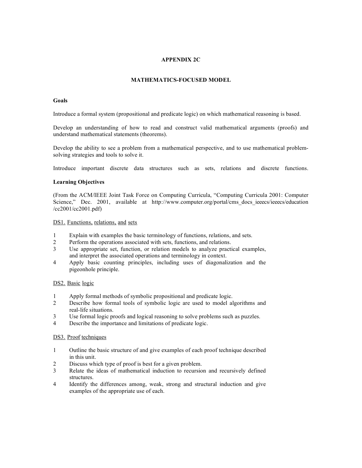#### **APPENDIX 2C**

#### **MATHEMATICS-FOCUSED MODEL**

#### **Goals**

Introduce a formal system (propositional and predicate logic) on which mathematical reasoning is based.

Develop an understanding of how to read and construct valid mathematical arguments (proofs) and understand mathematical statements (theorems).

Develop the ability to see a problem from a mathematical perspective, and to use mathematical problemsolving strategies and tools to solve it.

Introduce important discrete data structures such as sets, relations and discrete functions.

#### **Learning Objectives**

(From the ACM/IEEE Joint Task Force on Computing Curricula, "Computing Curricula 2001: Computer Science," Dec. 2001, available at http://www.computer.org/portal/cms\_docs\_ieeecs/ieeecs/education /cc2001/cc2001.pdf)

DS1. Functions, relations, and sets

- 1 Explain with examples the basic terminology of functions, relations, and sets.
- 2 Perform the operations associated with sets, functions, and relations.
- 3 Use appropriate set, function, or relation models to analyze practical examples, and interpret the associated operations and terminology in context.
- 4 Apply basic counting principles, including uses of diagonalization and the pigeonhole principle.

#### DS2. Basic logic

- 1 Apply formal methods of symbolic propositional and predicate logic.
- 2 Describe how formal tools of symbolic logic are used to model algorithms and real-life situations.
- 3 Use formal logic proofs and logical reasoning to solve problems such as puzzles.
- 4 Describe the importance and limitations of predicate logic.

#### DS3. Proof techniques

- 1 Outline the basic structure of and give examples of each proof technique described in this unit.
- 2 Discuss which type of proof is best for a given problem.
- 3 Relate the ideas of mathematical induction to recursion and recursively defined structures.
- 4 Identify the differences among, weak, strong and structural induction and give examples of the appropriate use of each.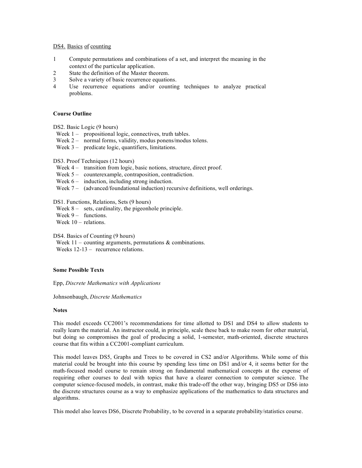#### DS4. Basics of counting

- 1 Compute permutations and combinations of a set, and interpret the meaning in the context of the particular application.
- 2 State the definition of the Master theorem.
- 3 Solve a variety of basic recurrence equations.
- 4 Use recurrence equations and/or counting techniques to analyze practical problems.

#### **Course Outline**

DS2. Basic Logic (9 hours)

- Week 1 propositional logic, connectives, truth tables.
- Week 2 normal forms, validity, modus ponens/modus tolens.
- Week 3 predicate logic, quantifiers, limitations.

#### DS3. Proof Techniques (12 hours)

- Week 4 transition from logic, basic notions, structure, direct proof.
- Week 5 counterexample, contraposition, contradiction.
- Week  $6 -$  induction, including strong induction.
- Week 7 (advanced/foundational induction) recursive definitions, well orderings.

DS1. Functions, Relations, Sets (9 hours)

- Week 8 sets, cardinality, the pigeonhole principle.
- Week  $9 -$  functions.

Week 10 – relations.

DS4. Basics of Counting (9 hours)

Week  $11$  – counting arguments, permutations & combinations. Weeks 12-13 – recurrence relations.

#### **Some Possible Texts**

Epp, *Discrete Mathematics with Applications*

Johnsonbaugh, *Discrete Mathematics*

#### **Notes**

This model exceeds CC2001's recommendations for time allotted to DS1 and DS4 to allow students to really learn the material. An instructor could, in principle, scale these back to make room for other material, but doing so compromises the goal of producing a solid, 1-semester, math-oriented, discrete structures course that fits within a CC2001-compliant curriculum.

This model leaves DS5, Graphs and Trees to be covered in CS2 and/or Algorithms. While some of this material could be brought into this course by spending less time on DS1 and/or 4, it seems better for the math-focused model course to remain strong on fundamental mathematical concepts at the expense of requiring other courses to deal with topics that have a clearer connection to computer science. The computer science-focused models, in contrast, make this trade-off the other way, bringing DS5 or DS6 into the discrete structures course as a way to emphasize applications of the mathematics to data structures and algorithms.

This model also leaves DS6, Discrete Probability, to be covered in a separate probability/statistics course.